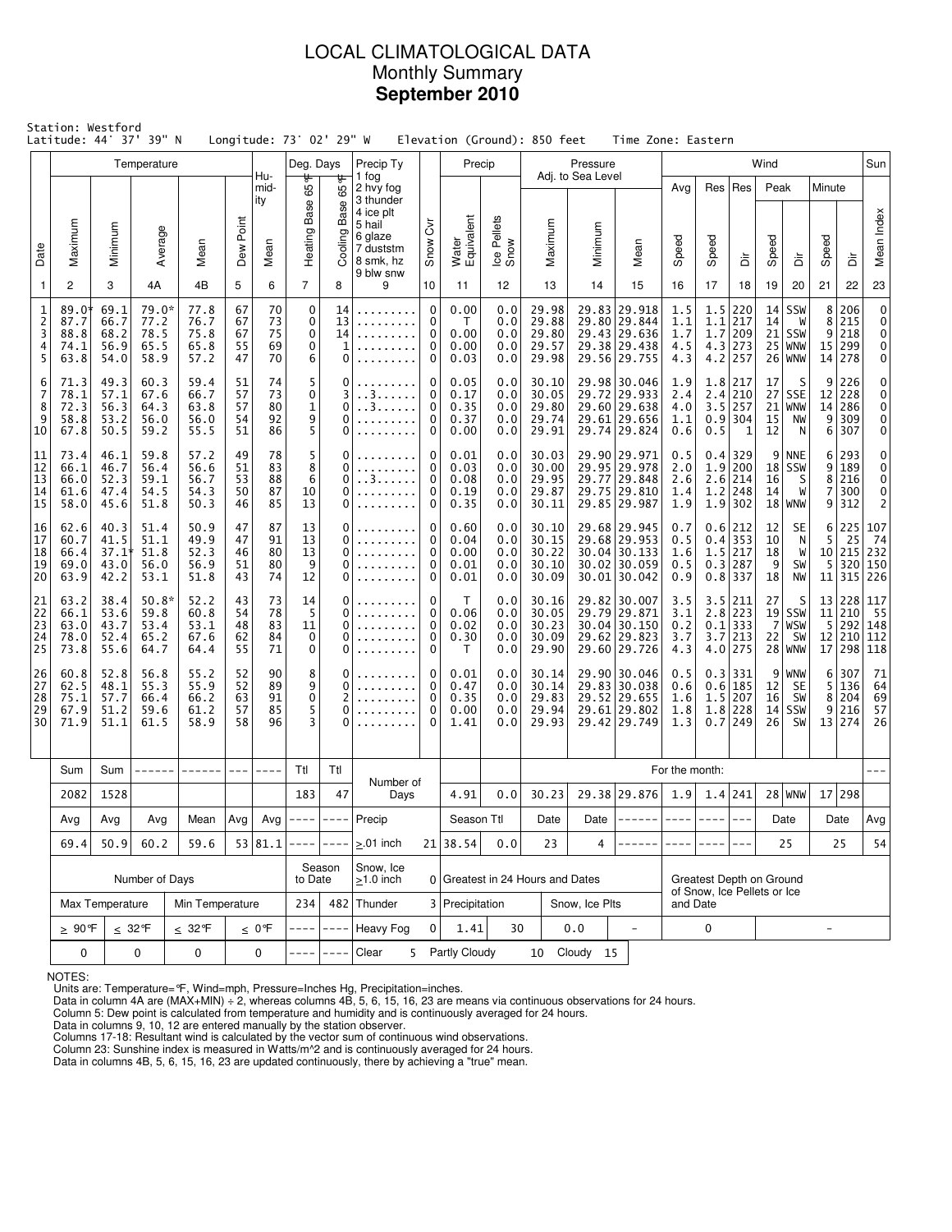### LOCAL CLIMATOLOGICAL DATA Monthly Summary **September 2010**

|                                    | Station: Westford<br>Latitude: 44°    |                                      | 37' 39" N                               |                                      |                            |                            | Longitude: 73° 02' 29" W           |                                 |                                                                                                 |                                           | Elevation (Ground): 850 feet         |                                 |                                           |                                  | Time Zone: Eastern                                                             |                                 |                                                         |                                                                 |                            |                                                |                                   |                                 |                                                      |
|------------------------------------|---------------------------------------|--------------------------------------|-----------------------------------------|--------------------------------------|----------------------------|----------------------------|------------------------------------|---------------------------------|-------------------------------------------------------------------------------------------------|-------------------------------------------|--------------------------------------|---------------------------------|-------------------------------------------|----------------------------------|--------------------------------------------------------------------------------|---------------------------------|---------------------------------------------------------|-----------------------------------------------------------------|----------------------------|------------------------------------------------|-----------------------------------|---------------------------------|------------------------------------------------------|
|                                    |                                       |                                      | Temperature                             |                                      |                            | Hu-                        | Deg. Days                          |                                 | Precip Ty<br>1 fog                                                                              |                                           | Precip                               |                                 |                                           | Pressure<br>Adj. to Sea Level    |                                                                                |                                 |                                                         |                                                                 | Wind                       |                                                |                                   |                                 | Sun                                                  |
| Date                               | Maximum                               | Minimum                              | Average                                 | Mean                                 | Point<br>Dew               | mid-<br>ity<br>Mean        | ᡃᡛ<br>Ğ5<br>Heating Base           | ᡃᡛ<br>65<br>Base<br>Cooling     | 2 hvy fog<br>3 thunder<br>4 ice plt<br>5 hail<br>6 glaze<br>7 duststm<br>8 smk, hz<br>9 blw snw | $\rm \breve{\delta}$<br>Snow              | Water<br>Equivalent                  | Ice Pellets<br>Snow             | Maximum                                   | Minimum                          | Mean                                                                           | Avg<br>Speed                    | Res<br>Speed                                            | Res<br>à                                                        | Peak<br>Speed              | à                                              | Minute<br>Speed                   | ځ                               | Mean Index                                           |
| 1                                  | 2                                     | 3                                    | 4A                                      | 4B                                   | 5                          | 6                          | $\overline{7}$                     | 8                               | 9                                                                                               | 10                                        | 11                                   | 12                              | 13                                        | 14                               | 15                                                                             | 16                              | 17                                                      | 18                                                              | 19                         | 20                                             | 21                                | 22                              | 23                                                   |
| 1<br>$\overline{2}$<br>3<br>4<br>5 | 89.0*<br>87.7<br>88.8<br>74.1<br>63.8 | 69.1<br>66.7<br>68.2<br>56.9<br>54.0 | 79.0*<br>77.2<br>78.5<br>65.5<br>58.9   | 77.8<br>76.7<br>75.8<br>65.8<br>57.2 | 67<br>67<br>67<br>55<br>47 | 70<br>73<br>75<br>69<br>70 | $\mathbf 0$<br>0<br>0<br>0<br>6    | 14<br>13<br>14<br>1<br>$\Omega$ | .                                                                                               | $\mathbf 0$<br>0<br>0<br>0<br>0           | 0.00<br>Τ<br>0.00<br>0.00<br>0.03    | 0.0<br>0.0<br>0.0<br>0.0<br>0.0 | 29.98<br>29.88<br>29.80<br>29.57<br>29.98 |                                  | 29.83 29.918<br>29.80 29.844<br>29.43 29.636<br>29.38 29.438<br>29.56 29.755   | 1.5<br>1.1<br>1.7<br>4.5<br>4.3 | 1.5<br>1.1<br>1.7<br>4.3                                | 220<br>217<br>209<br>273<br>$4.2$ 257                           | 14<br>14<br>21             | SSW<br>W<br><b>SSW</b><br>$25$ WNW<br>$26$ WNW | 8<br>8<br>9<br>15<br>14           | 206<br>215<br>218<br>299<br>278 | $\pmb{0}$<br>$\mathbf 0$<br>0<br>$\mathbf 0$<br>0    |
| 6<br>7<br>8<br>9<br>10             | 71.3<br>78.1<br>72.3<br>58.8<br>67.8  | 49.3<br>57.1<br>56.3<br>53.2<br>50.5 | 60.3<br>67.6<br>64.3<br>56.0<br>59.2    | 59.4<br>66.7<br>63.8<br>56.0<br>55.5 | 51<br>57<br>57<br>54<br>51 | 74<br>73<br>80<br>92<br>86 | 5<br>0<br>$\mathbf{1}$<br>9<br>5   | 0<br>3<br>0<br>0<br>0           | . . 3.<br>. . 3                                                                                 | 0<br>0<br>$\mathbf 0$<br>0<br>$\mathbf 0$ | 0.05<br>0.17<br>0.35<br>0.37<br>0.00 | 0.0<br>0.0<br>0.0<br>0.0<br>0.0 | 30.10<br>30.05<br>29.80<br>29.74<br>29.91 | 29.72                            | 29.98 30.046<br>29.933<br>29.60 29.638<br>29.61 29.656<br>29.74 29.824         | 1.9<br>2.4<br>4.0<br>1.1<br>0.6 | 1.8<br>2.4<br>3.5<br>0.5                                | 217<br>210<br>257<br>$0.9$   304<br>$\mathbf{1}$                | 17<br>27<br>21<br>15<br>12 | S<br>SSE<br>WNW<br>NW<br>N                     | 9<br>12<br>14<br>9<br>6           | 226<br>228<br>286<br>309<br>307 | 0<br>$\mathbf 0$<br>$\overline{0}$<br>0<br>0         |
| 11<br>12<br>13<br>14<br>15         | 73.4<br>66.1<br>66.0<br>61.6<br>58.0  | 46.1<br>46.7<br>52.3<br>47.4<br>45.6 | 59.8<br>56.4<br>59.1<br>54.5<br>51.8    | 57.2<br>56.6<br>56.7<br>54.3<br>50.3 | 49<br>51<br>53<br>50<br>46 | 78<br>83<br>88<br>87<br>85 | 5<br>8<br>6<br>10<br>13            | 0<br>0<br>0<br>0<br>0           | . . 3                                                                                           | 0<br>0<br>0<br>0<br>$\mathbf 0$           | 0.01<br>0.03<br>0.08<br>0.19<br>0.35 | 0.0<br>0.0<br>0.0<br>0.0<br>0.0 | 30.03<br>30.00<br>29.95<br>29.87<br>30.11 |                                  | 29.90 29.971<br>29.95 29.978<br>29.77 29.848<br>29.75 29.810<br>29.85 29.987   | 0.5<br>2.0<br>2.6<br>1.4<br>1.9 | 0.4 <br>1.9<br>2.6<br>1.2                               | 329<br>200<br>  214<br>248<br>$1.9$ 302                         | 9<br>16<br>14              | <b>NNE</b><br>$18$ SSW<br>S<br>W<br>$18$ WNW   | 6<br>9<br>8<br>7<br>9             | 293<br>189<br>216<br>300<br>312 | 0<br>$\mathbf 0$<br>0<br>$\pmb{0}$<br>$\overline{2}$ |
| 16<br>17<br>18<br>19<br>20         | 62.6<br>60.7<br>66.4<br>69.0<br>63.9  | 40.3<br>41.5<br>37.1<br>43.0<br>42.2 | 51.4<br>51.1<br>51.8<br>56.0<br>53.1    | 50.9<br>49.9<br>52.3<br>56.9<br>51.8 | 47<br>47<br>46<br>51<br>43 | 87<br>91<br>80<br>80<br>74 | 13<br>13<br>13<br>9<br>12          | $\Omega$<br>0<br>0<br>0<br>0    |                                                                                                 | 0<br>0<br>$\mathbf 0$<br>0<br>0           | 0.60<br>0.04<br>0.00<br>0.01<br>0.01 | 0.0<br>0.0<br>0.0<br>0.0<br>0.0 | 30.10<br>30.15<br>30.22<br>30.10<br>30.09 |                                  | 29.68 29.945<br>29.68 29.953<br>30.04 30.133<br>$30.02$ 30.059<br>30.01 30.042 | 0.7<br>0.5<br>1.6<br>0.5<br>0.9 |                                                         | $0.6$   212<br>$0.4$ 353<br>$1.5$ 217<br>0.3 287<br>$0.8$   337 | 12<br>10<br>18<br>9<br>18  | SE<br>N<br>W<br>SW<br><b>NW</b>                | 6<br>5<br>5<br>11                 | 225<br>25<br>10 215<br>320      | 107<br>74<br>232<br>150<br>315 226                   |
| 21<br>22<br>23<br>24<br>25         | 63.2<br>66.1<br>63.0<br>78.0<br>73.8  | 38.4<br>53.6<br>43.7<br>52.4<br>55.6 | $50.8*$<br>59.8<br>53.4<br>65.2<br>64.7 | 52.2<br>60.8<br>53.1<br>67.6<br>64.4 | 43<br>54<br>48<br>62<br>55 | 73<br>78<br>83<br>84<br>71 | 14<br>-5<br>11<br>$\mathbf 0$<br>0 | 0<br>0<br>0<br>0<br>0           |                                                                                                 | 0<br>0<br>0<br>0<br>0                     | T<br>0.06<br>0.02<br>0.30<br>Τ       | 0.0<br>0.0<br>0.0<br>0.0<br>0.0 | 30.16<br>30.05<br>30.23<br>30.09<br>29.90 |                                  | 29.82 30.007<br>29.79 29.871<br>$30.04$ 30.150<br>29.62 29.823<br>29.60 29.726 | 3.5<br>3.1<br>0.2<br>3.7<br>4.3 | 3.5<br>3.7                                              | 211<br>$2.8$ 223<br>$0.1$   333<br>213<br>$4.0$   275           | 27<br>22<br>28             | S<br>$19$ SSW<br>7 WSW<br>SW<br><b>WNW</b>     | 11<br>5<br>12 <br>17 <sup>1</sup> | 210<br>292<br>210               | 13 228 117<br>55<br>148<br>112<br>298 118            |
| 26<br>27<br>28<br>29<br>30         | 60.8<br>62.5<br>75.1<br>67.9<br>71.9  | 52.8<br>48.1<br>57.7<br>51.2<br>51.1 | 56.8<br>55.3<br>66.4<br>59.6<br>61.5    | 55.2<br>55.9<br>66.2<br>61.2<br>58.9 | 52<br>52<br>63<br>57<br>58 | 90<br>89<br>91<br>85<br>96 | 8<br>9<br>0<br>5<br>3              | 0<br>0<br>0                     |                                                                                                 | 0<br>0<br>0<br>0<br>$\mathbf 0$           | 0.01<br>0.47<br>0.35<br>0.00<br>1.41 | 0.0<br>0.0<br>0.0<br>0.0<br>0.0 | 30.14<br>30.14<br>29.83<br>29.94<br>29.93 |                                  | 29.90 30.046<br>29.83 30.038<br>29.52 29.655<br>29.61 29.802<br>29.42 29.749   | 0.5<br>0.6<br>1.6<br>1.8<br>1.3 | 1.5<br>1.8<br>0.7                                       | 0.3 331<br>0.6 185<br>207<br>228<br>249                         | 9<br>12<br>16<br>14<br>26  | WNW<br><b>SE</b><br>SW<br>SSW<br><b>SW</b>     | 6<br>5<br>8<br>9<br>13            | 307<br>136<br>204<br>216<br>274 | 71<br>64<br>69<br>57<br>26                           |
|                                    | Sum                                   | Sum                                  |                                         |                                      |                            | $- - - -$                  | Ttl                                | Ttl                             |                                                                                                 |                                           |                                      |                                 |                                           |                                  |                                                                                | For the month:                  |                                                         |                                                                 |                            |                                                |                                   |                                 |                                                      |
|                                    | 2082                                  | 1528                                 |                                         |                                      |                            |                            | 183                                | 47                              | Number of<br>Days                                                                               |                                           | 4.91                                 | 0.0                             | 30.23                                     |                                  | 29.38 29.876                                                                   | 1.9                             |                                                         | 1.4 241                                                         |                            | $28$ WNW                                       |                                   | 17 298                          |                                                      |
|                                    | Avg                                   | Avg                                  | Avg                                     | Mean                                 | Avg                        |                            | Avg $\vert$ ----                   | $- - - - -$                     | Precip                                                                                          |                                           | Season Ttl                           |                                 | Date                                      | Date $ $                         | $- - - - - -   - - -  $                                                        |                                 | $- - - -$                                               |                                                                 |                            | Date                                           |                                   | Date                            | Avg                                                  |
|                                    | 69.4                                  | 50.9                                 | 60.2                                    | 59.6                                 |                            | 53 81.1                    |                                    |                                 | $> 01$ inch                                                                                     |                                           | 21 38.54                             | 0.0                             | 23                                        | 4                                |                                                                                |                                 |                                                         |                                                                 |                            | 25                                             |                                   | 25                              | 54                                                   |
|                                    |                                       |                                      | Number of Days                          |                                      |                            |                            | to Date                            | Season                          | Snow, Ice<br>$\geq$ 1.0 inch                                                                    |                                           |                                      |                                 |                                           | 0 Greatest in 24 Hours and Dates |                                                                                |                                 | Greatest Depth on Ground<br>of Snow. Ice Pellets or Ice |                                                                 |                            |                                                |                                   |                                 |                                                      |
|                                    |                                       | Max Temperature                      |                                         | Min Temperature                      |                            |                            | 234                                |                                 | 482 Thunder                                                                                     |                                           | 3 Precipitation                      |                                 |                                           | Snow, Ice Plts                   |                                                                                | and Date                        |                                                         |                                                                 |                            |                                                |                                   |                                 |                                                      |
|                                    | <u>&gt;</u> 90℉                       |                                      | $\leq 32^{\circ}$ F                     | $\leq$ 32°F                          |                            | $\leq 0$ °F                |                                    |                                 | <b>Heavy Fog</b>                                                                                | $\Omega$                                  | 1.41                                 | 30                              |                                           | 0.0                              | $\overline{\phantom{a}}$                                                       |                                 | 0                                                       |                                                                 |                            |                                                | $\overline{a}$                    |                                 |                                                      |
|                                    | $\pmb{0}$                             |                                      | 0                                       | 0                                    |                            | 0                          |                                    |                                 | Clear<br>5                                                                                      |                                           | Partly Cloudy                        |                                 |                                           | 10 Cloudy<br>15                  |                                                                                |                                 |                                                         |                                                                 |                            |                                                |                                   |                                 |                                                      |

NOTES:

Units are: Temperature=°F, Wind=mph, Pressure=Inches Hg, Precipitation=inches. Data in column 4A are (MAX+MIN) ÷ 2, whereas columns 4B, 5, 6, 15, 16, 23 are means via continuous observations for 24 hours.

Column 5: Dew point is calculated from temperature and humidity and is continuously averaged for 24 hours.

Data in columns 9, 10, 12 are entered manually by the station observer.

Columns 17-18: Resultant wind is calculated by the vector sum of continuous wind observations.<br>Column 23: Sunshine index is measured in Watts/m^2 and is continuously averaged for 24 hours.<br>Data in columns 4B, 5, 6, 15, 16,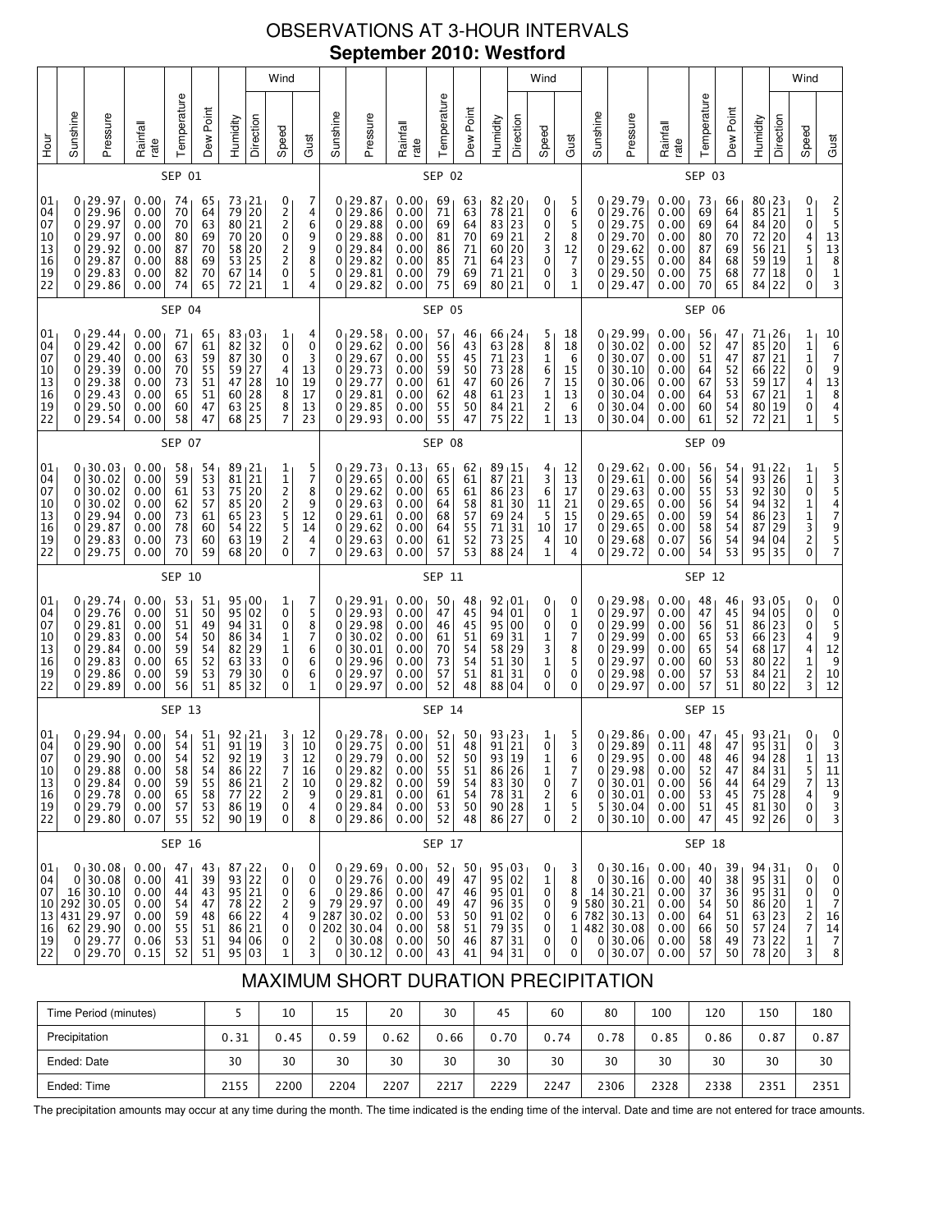# OBSERVATIONS AT 3-HOUR INTERVALS **September 2010: Westford**

|                                                           |                                 |                                                                                               |                                                              |                                              |                                              |                                              |                                                                                                       | Wind                                                                                              |                                                                                |                                 |                                                                                                  |                                                              |                                              |                                              |                                                                                                                   |                                                                               | Wind                                                                  |                                             |                                       |                                                                                                   |                                                              |                                              |                                                           |                                                                   |                                                | Wind                                                                                         |                                                                                                                 |
|-----------------------------------------------------------|---------------------------------|-----------------------------------------------------------------------------------------------|--------------------------------------------------------------|----------------------------------------------|----------------------------------------------|----------------------------------------------|-------------------------------------------------------------------------------------------------------|---------------------------------------------------------------------------------------------------|--------------------------------------------------------------------------------|---------------------------------|--------------------------------------------------------------------------------------------------|--------------------------------------------------------------|----------------------------------------------|----------------------------------------------|-------------------------------------------------------------------------------------------------------------------|-------------------------------------------------------------------------------|-----------------------------------------------------------------------|---------------------------------------------|---------------------------------------|---------------------------------------------------------------------------------------------------|--------------------------------------------------------------|----------------------------------------------|-----------------------------------------------------------|-------------------------------------------------------------------|------------------------------------------------|----------------------------------------------------------------------------------------------|-----------------------------------------------------------------------------------------------------------------|
| H <sub>out</sub>                                          | Sunshine                        | Pressure                                                                                      | Rainfall<br>rate                                             | Temperature                                  | Dew Point                                    | Humidity                                     | Direction                                                                                             | Speed                                                                                             | Gust                                                                           | Sunshine                        | Pressure                                                                                         | Rainfall<br>rate                                             | Temperature                                  | Dew Point                                    | Humidity                                                                                                          | Direction                                                                     | Speed                                                                 | Gust                                        | Sunshine                              | Pressure                                                                                          | Rainfall<br>rate                                             | Temperature                                  | Dew Point                                                 | Humidity                                                          | Direction                                      | Speed                                                                                        | Gust                                                                                                            |
|                                                           |                                 |                                                                                               |                                                              | SEP 01                                       |                                              |                                              |                                                                                                       |                                                                                                   |                                                                                |                                 |                                                                                                  |                                                              | SEP 02                                       |                                              |                                                                                                                   |                                                                               |                                                                       |                                             |                                       |                                                                                                   |                                                              | SEP 03                                       |                                                           |                                                                   |                                                |                                                                                              |                                                                                                                 |
| 01<br>04<br>07<br>10<br>13<br>16<br>19<br>22              | 0<br>0<br>0<br>0<br>0<br>0<br>0 | 0, 29.97<br>29.96<br>29.97<br>29.97<br>29.92<br>29.87<br>29.83<br>29.86                       | 0.00<br>0.00<br>0.00<br>0.00<br>0.00<br>0.00<br>0.00<br>0.00 | 74<br>70<br>70<br>80<br>87<br>88<br>82<br>74 | 65<br>64<br>63<br>69<br>70<br>69<br>70<br>65 | 73<br>79<br>80<br>70<br>58<br>53<br>67<br>72 | 21<br>20<br>$\overline{21}$<br>20<br>20<br>25<br>14<br>21                                             | 0<br>$\frac{2}{2}$<br>0<br>$\overline{\mathbf{c}}$<br>$\overline{\mathbf{c}}$<br>0<br>$\mathbf 1$ | 7<br>4<br>6<br>9<br>9<br>8<br>5<br>$\overline{4}$                              | 0<br>0<br>0<br>0<br>0<br>0<br>0 | 0 <sub>1</sub> 29.87<br>29.86<br>29.88<br>29.88<br>29.84<br>29.82<br>29.81<br>29.82              | 0.00<br>0.00<br>0.00<br>0.00<br>0.00<br>0.00<br>0.00<br>0.00 | 69<br>71<br>69<br>81<br>86<br>85<br>79<br>75 | 63<br>63<br>64<br>70<br>71<br>71<br>69<br>69 | $\begin{array}{c c} 82 & 20 \\ 78 & 21 \\ 83 & 23 \end{array}$<br>69<br>60<br>64<br>71<br>80                      | 21<br>20<br>23<br>21<br>21                                                    | 0<br>0<br>0<br>2<br>3<br>0<br>0<br>0                                  | 5<br>6<br>5<br>8<br>12<br>7<br>3<br>1       | 0<br>0<br>0<br>0<br>0<br>0<br>0<br>0  | 29.79<br>29.76<br>29.75<br>29.70<br>29.62<br>29.55<br>29.50<br>29.47                              | 0.00<br>0.00<br>0.00<br>0.00<br>0.00<br>0.00<br>0.00<br>0.00 | 73<br>69<br>69<br>80<br>87<br>84<br>75<br>70 | 66<br>64<br>64<br>70<br>69<br>68<br>68<br>65              | 80<br>85<br>84<br>72<br>56<br>59<br>77<br>84                      | 23  <br>21<br>20<br>20<br>21<br>19<br>18<br>22 | 0<br>$\frac{1}{0}$<br>$\frac{4}{5}$<br>$\mathbf 1$<br>0<br>0                                 | 2<br>5<br>5<br>5<br>3<br>3<br>3<br>3                                                                            |
|                                                           |                                 |                                                                                               |                                                              | <b>SEP 04</b>                                |                                              |                                              |                                                                                                       |                                                                                                   |                                                                                |                                 |                                                                                                  |                                                              | <b>SEP 05</b>                                |                                              |                                                                                                                   |                                                                               |                                                                       |                                             |                                       |                                                                                                   |                                                              | SEP 06                                       |                                                           |                                                                   |                                                |                                                                                              |                                                                                                                 |
| 01<br>04<br>07<br>10<br>13<br>16<br>19<br>22              | 0<br>0<br>0<br>0<br>0<br>0      | 0, 29.44<br>29.42<br>29.40<br>29.39<br>29.38<br>29.43<br>29.50<br>0 29.54                     | 0.00<br>0.00<br>0.00<br>0.00<br>0.00<br>0.00<br>0.00<br>0.00 | 71<br>67<br>63<br>70<br>73<br>65<br>60<br>58 | 65<br>61<br>59<br>55<br>51<br>51<br>47<br>47 | 82<br>87<br>59<br>47<br>60<br>63<br>68       | 83 03<br>32<br>30<br>27<br>28<br>$\begin{array}{c} 28 \\ 25 \end{array}$<br>25                        | 1<br>0<br>0<br>4<br>10<br>8<br>$\bar{8}$<br>$\overline{7}$                                        | 4<br>$\mathbf 0$<br>3<br>13<br>19<br>17<br>13<br>23                            | 0<br>0<br>0<br>0<br>0<br>0<br>0 | 0, 29.58<br>29.62<br>29.67<br>29.73<br>29.77<br>29.81<br>29.85<br>29.93                          | 0.00<br>0.00<br>0.00<br>0.00<br>0.00<br>0.00<br>0.00<br>0.00 | 57<br>56<br>55<br>59<br>61<br>62<br>55<br>55 | 46<br>43<br>45<br>50<br>47<br>48<br>50<br>47 | $\begin{array}{c} 66 \\ 63 \end{array} \begin{array}{c} 24 \\ 28 \end{array}$<br>71<br>73<br>60<br>61<br>84<br>75 | 23<br>28<br>26<br>23<br>$\overline{21}$<br>22                                 | 5<br>8<br>1<br>6<br>7<br>$\mathbf{1}$<br>$\overline{\mathbf{c}}$<br>1 | 18<br>18<br>6<br>15<br>15<br>13<br>6<br>13  | 0<br>0<br>0<br>0<br>0<br>0<br>0       | 0, 29.99<br>30.02<br>30.07<br>30.10<br>30.06<br>30.04<br>30.04<br>30.04                           | 0.00<br>0.00<br>0.00<br>0.00<br>0.00<br>0.00<br>0.00<br>0.00 | 56<br>52<br>51<br>64<br>67<br>64<br>60<br>61 | 47<br>47<br>47<br>52<br>53<br>53<br>54<br>52              | 71,26<br>85<br>87<br>66<br>59<br>67<br>80<br>72                   | 20<br>21<br>22<br>17<br>21<br>19<br>21         | 1<br>1<br>1<br>0<br>4<br>$\mathbf{1}$<br>0<br>$\overline{1}$                                 | $\begin{array}{c}\n 10 \\  6 \\  7 \\  9\n \end{array}$<br>$13\,$<br>$\begin{array}{c} 8 \\ 4 \\ 5 \end{array}$ |
|                                                           |                                 |                                                                                               |                                                              | <b>SEP 07</b>                                |                                              |                                              |                                                                                                       |                                                                                                   |                                                                                |                                 |                                                                                                  |                                                              | <b>SEP 08</b>                                |                                              |                                                                                                                   |                                                                               |                                                                       |                                             |                                       |                                                                                                   |                                                              | SEP 09                                       |                                                           |                                                                   |                                                |                                                                                              |                                                                                                                 |
| 01<br>04<br>07<br>10<br>13<br>16<br>19<br>22              | 0<br>0<br>0<br>0<br>0<br>0      | 0, 30.03<br>30.02<br>30.02<br>30.02<br>29.94<br>29.87<br>29.83<br>0 29.75                     | 0.00<br>0.00<br>0.00<br>0.00<br>0.00<br>0.00<br>0.00<br>0.00 | 58<br>59<br>61<br>62<br>73<br>78<br>73<br>70 | 54<br>53<br>53<br>57<br>61<br>60<br>60<br>59 | 89<br>81<br>75<br>85<br>65<br>54<br>63<br>68 | 21<br>21<br>20<br>20<br>23<br>22<br>19<br>20                                                          | 1<br>1<br>$\overline{\mathbf{c}}$<br>2<br>5<br>5<br>2<br>0                                        | 5<br>$\overline{7}$<br>8<br>9<br>12<br>14<br>4<br>7                            | 0<br>0<br>0<br>0<br>0<br>0<br>0 | 0, 29.73<br>29.65<br>29.62<br>29.63<br>29.61<br>29.62<br>29.63<br>29.63                          | 0.13<br>0.00<br>0.00<br>0.00<br>0.00<br>0.00<br>0.00<br>0.00 | 65<br>65<br>65<br>64<br>68<br>64<br>61<br>57 | 62<br>61<br>61<br>58<br>57<br>55<br>52<br>53 | 89<br>87<br>86<br>81<br>69<br>71<br>73<br>88                                                                      | 15 ر<br>21<br>23<br>30<br>$\begin{array}{c} 24 \\ 31 \end{array}$<br>25<br>24 | 4<br>3<br>6<br>11<br>5<br>10<br>4<br>1                                | 12<br>13<br>17<br>21<br>15<br>17<br>10<br>4 | 0<br>0<br>0<br>0<br>0<br>0<br>0       | 0, 29.62<br>29.61<br>29.63<br>29.65<br>29.65<br>29.65<br>29.68<br>29.72                           | 0.00<br>0.00<br>0.00<br>0.00<br>0.00<br>0.00<br>0.07<br>0.00 | 56<br>56<br>55<br>56<br>59<br>58<br>56<br>54 | 54<br>54<br>53<br>54<br>54<br>$\overline{54}$<br>54<br>53 | $91_122$<br>93<br>92<br>94<br>86<br>87<br>94<br>95                | 26<br>30<br>32<br>23<br>29<br>04<br>35         | 1<br>$\begin{matrix}1\0\end{matrix}$<br>1<br>1<br>3<br>2<br>0                                | 53547957                                                                                                        |
|                                                           |                                 |                                                                                               |                                                              | SEP 10                                       |                                              |                                              |                                                                                                       |                                                                                                   |                                                                                |                                 |                                                                                                  |                                                              | SEP 11                                       |                                              |                                                                                                                   |                                                                               |                                                                       |                                             |                                       |                                                                                                   |                                                              | SEP 12                                       |                                                           |                                                                   |                                                |                                                                                              |                                                                                                                 |
| 01<br>04<br>07<br>10<br>13<br>16<br>19<br>22              | 0<br>0<br>0<br>0<br>0<br>0      | 0, 29.74<br>29.76<br>29.81<br>29.83<br>29.84<br>29.83<br>29.86<br>0 29.89                     | 0.00<br>0.00<br>0.00<br>0.00<br>0.00<br>0.00<br>0.00<br>0.00 | 53<br>51<br>51<br>54<br>59<br>65<br>59<br>56 | 51<br>50<br>49<br>50<br>54<br>52<br>53<br>51 | 95<br>94<br>86<br>82<br>63<br>79<br>85       | 95 00<br>02<br>31<br>34<br>29<br>33<br>30<br>32                                                       | 1<br>0<br>0<br>1<br>$\frac{1}{0}$<br>0<br>0                                                       | 7<br>5<br>$\begin{array}{c} 8 \\ 7 \end{array}$<br>6<br>6<br>6<br>$\mathbf{1}$ | 0<br>0<br>0<br>0<br>0<br>0<br>0 | 0, 29.91<br>29.93<br>29.98<br>30.02<br>30.01<br>29.96<br>29.97<br>29.97                          | 0.00<br>0.00<br>0.00<br>0.00<br>0.00<br>0.00<br>0.00<br>0.00 | 50<br>47<br>46<br>61<br>70<br>73<br>57<br>52 | 48<br>45<br>45<br>51<br>54<br>54<br>51<br>48 | $92_{1}01$<br>94<br>95<br>69<br>58<br>51<br>81<br>88                                                              | 01<br>00<br>31<br>29<br>30<br>31<br>04                                        | 0<br>0<br>0<br>1<br>3<br>1<br>0<br>0                                  | 0<br>1<br>0<br>7<br>8<br>5<br>0<br>0        | 0<br>0<br>0<br>0<br>0<br>0<br>0       | 0, 29.98<br>29.97<br>29.99<br>29.99<br>29.99<br>29.97<br>29.98<br>29.97                           | 0.00<br>0.00<br>0.00<br>0.00<br>0.00<br>0.00<br>0.00<br>0.00 | 48<br>47<br>56<br>65<br>65<br>60<br>57<br>57 | 46<br>45<br>51<br>53<br>$\frac{54}{53}$<br>53<br>51       | $93 \mid 05$<br>94<br>86<br>66<br>68<br>80<br>84<br>80            | 05<br>23<br>23<br>17<br>22<br>21<br>22         | 0<br>0<br>0<br>4<br>4<br>1<br>2<br>3                                                         | 0<br>0<br>$\frac{5}{12}$<br>$\frac{9}{9}$<br>10<br>12                                                           |
|                                                           |                                 |                                                                                               |                                                              | <b>SEP 13</b>                                |                                              |                                              |                                                                                                       |                                                                                                   |                                                                                |                                 |                                                                                                  |                                                              | <b>SEP 14</b>                                |                                              |                                                                                                                   |                                                                               |                                                                       |                                             |                                       |                                                                                                   |                                                              | <b>SEP 15</b>                                |                                                           |                                                                   |                                                |                                                                                              |                                                                                                                 |
| 01<br>04<br>07<br>10<br>13<br>16<br>19<br>22              | 0 <sup>1</sup>                  | 0, 29.94<br>29.90<br>0 29.90 <br>0 29.88<br>0 29.84<br>0 29.78<br>0 29.79<br>0 29.80          | 0.00<br>0.00<br>0.00<br>0.00<br>0.00<br>0.00<br>0.00<br>0.07 | 54<br>54<br>54<br>58<br>59<br>65<br>57<br>55 | 51<br>51<br>52<br>54<br>55<br>58<br>53<br>52 | 92<br>91                                     | 21<br>19<br>92 19<br>$\begin{array}{c c} 86 & 22 \\ 86 & 21 \end{array}$<br>$77$ 22<br>86 19<br>90 19 | $\frac{3}{3}$<br>3 <br>7<br>$\overline{\mathbf{c}}$<br>2<br>0<br>0                                | 12<br>10<br>12<br>16<br>10<br>9<br>4<br>8                                      | 0                               | 0 <sub>1</sub> 29.78<br>29.75<br>0 29.79 <br>0 29.82<br>0 29.82<br>0 29.81<br>0 29.84<br>0 29.86 | 0.00<br>0.00<br>0.00<br>0.00<br>0.00<br>0.00<br>0.00<br>0.00 | 52<br>51<br>52<br>55<br>59<br>61<br>53<br>52 | 50<br>48<br>50<br>51<br>54<br>54<br>50<br>48 | 93 23<br>91<br>93<br>$\begin{array}{c} 86 \\ 86 \\ 83 \\ 78 \\ 31 \end{array}$<br>90 28<br>86 27                  | 21<br>$\frac{1}{2}$                                                           | 1<br>0<br>$\mathbf{1}$<br>1<br>0<br>$\overline{\mathbf{c}}$<br>1<br>0 | 5<br>3<br>6<br>7<br>7<br>6<br>5<br>2        | 0<br>$\overline{0}$<br>$\overline{0}$ | $0 29.86$<br>0 29.89<br>$0$ 29.95<br>29.98<br>30.01<br>30.01<br>5 30.04<br>0 30.10                | 0.00<br>0.11<br>0.00<br>0.00<br>0.00<br>0.00<br>0.00<br>0.00 | 47<br>48<br>48<br>52<br>56<br>53<br>51<br>47 | 45<br>47<br>46<br>47<br>$\bf 44$<br>45<br>45<br>45        | 93 21<br>95<br>94 28<br>84 31<br>64 29<br>75 28<br>81 30<br>92 26 | 31                                             | 0<br>0<br>$\mathbf 1$<br>$\frac{5}{7}$<br>4<br>0<br>0                                        | 0<br>3<br>13<br>$\begin{array}{c} 11 \\ 13 \end{array}$<br>9<br>3<br>3                                          |
|                                                           |                                 |                                                                                               |                                                              | SEP 16                                       |                                              |                                              |                                                                                                       |                                                                                                   |                                                                                |                                 |                                                                                                  |                                                              | SEP 17                                       |                                              |                                                                                                                   |                                                                               |                                                                       |                                             |                                       |                                                                                                   |                                                              | SEP 18                                       |                                                           |                                                                   |                                                |                                                                                              |                                                                                                                 |
| 01 <sub>1</sub><br>04<br>07<br>10<br>13<br>16<br>19<br>22 | 0                               | 0, 30.08<br>30.08<br>16 30.10<br>292 30.05<br>431 29.97<br>$62$   29.90<br>0 29.77<br>0 29.70 | 0.00<br>0.00<br>0.00<br>0.00<br>0.00<br>0.00<br>0.06<br>0.15 | 47<br>41<br>44<br>54<br>59<br>55<br>53<br>52 | 43<br>39<br>43<br>47<br>48<br>51<br>51<br>51 |                                              | 87 <sub>1</sub> 22<br>93 22<br>95 21<br>78 22<br>66 22<br>86 21<br>94 06<br>95 03                     | 0<br>0<br>0<br>$\overline{\mathbf{c}}$<br>4<br>0<br>0<br>1                                        | 0<br>0<br>6<br>9<br>9<br>0<br>$\overline{\mathbf{c}}$<br>3                     | 0<br>$\mathbf{0}$               | $01$ 29.69<br>29.76<br>0 29.86<br>79 29.97<br>287 30.02<br>$202$ 30.04<br>30.08<br>0 30.12       | 0.00<br>0.00<br>0.00<br>0.00<br>0.00<br>0.00<br>0.00<br>0.00 | 52<br>49<br>47<br>49<br>53<br>58<br>50<br>43 | 50<br>47<br>46<br>47<br>50<br>51<br>46<br>41 | 95 03<br>95 02<br>95 01<br>96 <br>91 02<br>79<br>87<br>94 31                                                      | 35<br>$\frac{35}{10}$<br>31                                                   | 0<br>1<br>0<br>0<br>0<br>0<br>0<br>0                                  | 3<br>8<br>8<br>9<br>6<br>1<br>0<br>0        | 0                                     | 0, 30.16<br>30.16<br>$14 \mid 30.21$<br>580 30.21<br>782 30.13<br>482 30.08<br>0 30.06<br>0 30.07 | 0.00<br>0.00<br>0.00<br>0.00<br>0.00<br>0.00<br>0.00<br>0.00 | 40<br>40<br>37<br>54<br>64<br>66<br>58<br>57 | 39<br>38<br>36<br>50<br>51<br>50<br>49<br>50              | $94_131$<br>95 31<br>95 31<br>86 20<br>63 23<br>57 24<br>73 22    | 78 20                                          | 0<br>0<br>0<br>$\mathbf{1}$<br>$\overline{\mathbf{c}}$<br>$\overline{7}$<br>$\mathbf 1$<br>3 | 0<br>0<br>0<br>$\overline{7}$<br>16<br>14<br>$\frac{7}{8}$                                                      |

# MAXIMUM SHORT DURATION PRECIPITATION

| Time Period (minutes) |      | 10   | 15   | 20   | 30   | 45   | 60   | 80   | 100  | 120  | 150  | 180  |
|-----------------------|------|------|------|------|------|------|------|------|------|------|------|------|
| Precipitation         | 0.31 | 0.45 | 0.59 | 0.62 | 0.66 | 0.70 | 0.74 | 0.78 | 0.85 | 0.86 | 0.87 | 0.87 |
| Ended: Date           | 30   | 30   | 30   | 30   | 30   | 30   | 30   | 30   | 30   | 30   | 30   | 30   |
| Ended: Time           | 2155 | 2200 | 2204 | 2207 | 2217 | 2229 | 2247 | 2306 | 2328 | 2338 | 2351 | 2351 |

The precipitation amounts may occur at any time during the month. The time indicated is the ending time of the interval. Date and time are not entered for trace amounts.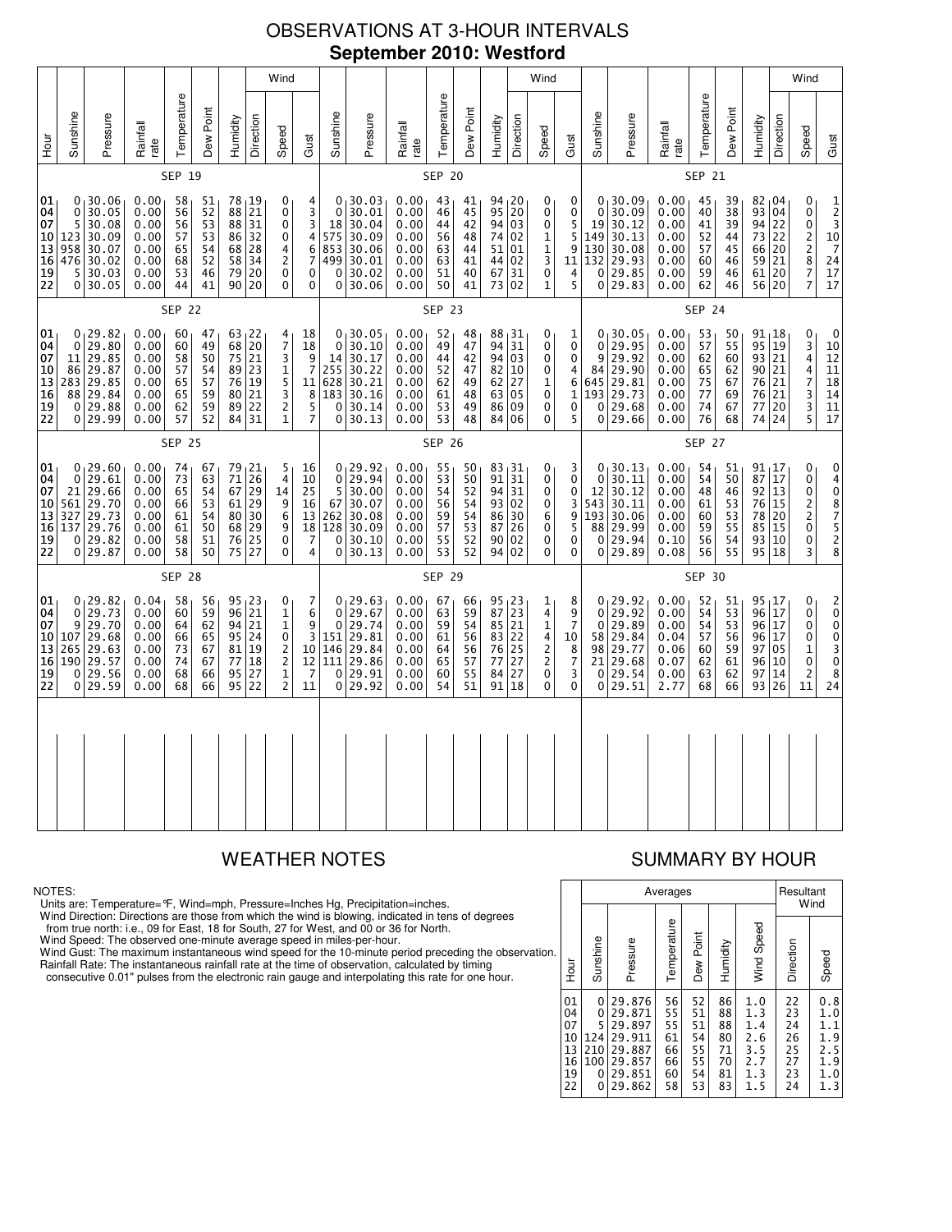## OBSERVATIONS AT 3-HOUR INTERVALS **September 2010: Westford**

|                                              |                                       |                                                                           |                                                              |                                              |                                              |                                        |                                                                                             | Wind                                                                                    |                                                                                                  |                                                                     |                                                                          |                                                              |                                              |                                                           |                                                  |                                        | Wind                                                                                           |                                                                                   |                                                       |                                                                         |                                                              |                                              |                                              |                                                                 |                                        | Wind                                                                                 |                                                                                                                        |
|----------------------------------------------|---------------------------------------|---------------------------------------------------------------------------|--------------------------------------------------------------|----------------------------------------------|----------------------------------------------|----------------------------------------|---------------------------------------------------------------------------------------------|-----------------------------------------------------------------------------------------|--------------------------------------------------------------------------------------------------|---------------------------------------------------------------------|--------------------------------------------------------------------------|--------------------------------------------------------------|----------------------------------------------|-----------------------------------------------------------|--------------------------------------------------|----------------------------------------|------------------------------------------------------------------------------------------------|-----------------------------------------------------------------------------------|-------------------------------------------------------|-------------------------------------------------------------------------|--------------------------------------------------------------|----------------------------------------------|----------------------------------------------|-----------------------------------------------------------------|----------------------------------------|--------------------------------------------------------------------------------------|------------------------------------------------------------------------------------------------------------------------|
| 로<br>오                                       | Sunshine                              | Pressure                                                                  | Rainfall<br>rate                                             | Temperature                                  | Dew Point                                    | Humidity                               | Direction                                                                                   | Speed                                                                                   | Gust                                                                                             | Sunshine                                                            | Pressure                                                                 | Rainfall<br>rate                                             | Temperature                                  | Dew Point                                                 | Humidity                                         | Direction                              | Speed                                                                                          | Gust                                                                              | Sunshine                                              | Pressure                                                                | Rainfall<br>rate                                             | Temperature                                  | Dew Point                                    | Humidity                                                        | Direction                              | Speed                                                                                | Gust                                                                                                                   |
|                                              |                                       |                                                                           |                                                              | SEP 19                                       |                                              |                                        |                                                                                             |                                                                                         |                                                                                                  |                                                                     |                                                                          |                                                              | <b>SEP 20</b>                                |                                                           |                                                  |                                        |                                                                                                |                                                                                   |                                                       |                                                                         |                                                              | <b>SEP 21</b>                                |                                              |                                                                 |                                        |                                                                                      |                                                                                                                        |
| 01<br>04<br>07<br>10<br>13<br>16<br>19<br>22 | 0<br>5<br>123<br>958<br>476<br>5<br>0 | 0, 30.06<br>30.05<br>30.08<br>30.09<br>30.07<br>30.02<br>30.03<br>30.05   | 0.00<br>0.00<br>0.00<br>0.00<br>0.00<br>0.00<br>0.00<br>0.00 | 58<br>56<br>56<br>57<br>65<br>68<br>53<br>44 | 51<br>52<br>53<br>53<br>54<br>52<br>46<br>41 | 88<br>88<br>86<br>68<br>58<br>79       | 78 19<br>21<br>31<br>32<br>$\frac{28}{34}$<br>20<br>90 20                                   | 0<br>0<br>0<br>0<br>4<br>$\overline{2}$<br>0<br>0                                       | 4<br>$\frac{3}{3}$<br>4<br>$\,6$<br>$\overline{7}$<br>0<br>0                                     | $\mathbf 0$<br>18<br>575<br>853<br>499<br>0<br>0                    | 0.30.03<br>30.01<br>30.04<br>30.09<br>30.06<br>30.01<br>30.02<br>30.06   | 0.00<br>0.00<br>0.00<br>0.00<br>0.00<br>0.00<br>0.00<br>0.00 | 43<br>46<br>44<br>56<br>63<br>63<br>51<br>50 | 41<br>45<br>42<br>48<br>44<br>41<br>40<br>41              | 94, 20<br>95<br>94<br>74<br>51<br>44<br>67<br>73 | 20<br>03<br>02<br>01<br>02<br>31<br>02 | 0<br>0<br>0<br>$\mathbf 1$<br>$\frac{1}{3}$<br>$\mathbf 0$<br>$\mathbf 1$                      | 0<br>0<br>5<br>5<br>9<br>11<br>$\frac{4}{5}$                                      | 0<br>19<br>149<br>130<br>132<br>0<br>$\Omega$         | 0, 30.09<br>30.09<br>30.12<br>30.13<br>30.08<br>29.93<br>29.85<br>29.83 | 0.00<br>0.00<br>0.00<br>0.00<br>0.00<br>0.00<br>0.00<br>0.00 | 45<br>40<br>41<br>52<br>57<br>60<br>59<br>62 | 39<br>38<br>39<br>44<br>45<br>46<br>46<br>46 | $82 \tcdot 04$<br>93<br>94<br>73<br>66<br>59<br>61<br>56 20     | 04<br>22<br>22<br>20<br>21<br>20       | 0<br>0<br>$\pmb{0}$<br>2<br>2<br>8<br>$\frac{7}{7}$                                  | 1<br>$\frac{2}{3}$<br>$\begin{array}{c}\n10 \\ 7\n\end{array}$<br>$\frac{24}{17}$<br>17                                |
|                                              |                                       |                                                                           |                                                              | <b>SEP 22</b>                                |                                              |                                        |                                                                                             |                                                                                         |                                                                                                  |                                                                     |                                                                          |                                                              | <b>SEP 23</b>                                |                                                           |                                                  |                                        |                                                                                                |                                                                                   |                                                       |                                                                         |                                                              | SEP 24                                       |                                              |                                                                 |                                        |                                                                                      |                                                                                                                        |
| 01<br>04<br>07<br>10<br>13<br>16<br>19<br>22 | 0<br>11<br>86<br>283<br>88<br>0<br>0  | 0, 29.82<br>29.80<br>29.85<br>29.87<br>29.85<br>29.84<br>29.88<br>29.99   | 0.00<br>0.00<br>0.00<br>0.00<br>0.00<br>0.00<br>0.00<br>0.00 | 60<br>60<br>58<br>57<br>65<br>65<br>62<br>57 | 47<br>49<br>50<br>54<br>57<br>59<br>59<br>52 | 68<br>75<br>89<br>76<br>80<br>89<br>84 | 63 22<br>20<br>21<br>23<br>19<br>21<br>22<br>31                                             | 4<br>$\overline{7}$<br>3<br>1<br>5<br>$\frac{3}{2}$<br>$\mathbf{1}$                     | 18<br>18<br>9<br>$\overline{7}$<br>11<br>$\begin{array}{c} 8 \\ 5 \end{array}$<br>$\overline{7}$ | $\mathbf{0}$<br>14<br>255<br>628<br>183<br>0<br>0                   | 0, 30.05<br>30.10<br>30.17<br>30.22<br>30.21<br>30.16<br>30.14<br>30.13  | 0.00<br>0.00<br>0.00<br>0.00<br>0.00<br>0.00<br>0.00<br>0.00 | 52<br>49<br>44<br>52<br>62<br>61<br>53<br>53 | 48<br>47<br>42<br>47<br>49<br>48<br>49<br>48              | 88,31<br>94<br>94<br>82<br>62<br>63<br>86<br>84  | 31<br>03<br>10<br>27<br>05<br>09<br>06 | 0<br>0<br>0<br>0<br>$\mathbf 1$<br>$\begin{smallmatrix}0\0\0\end{smallmatrix}$<br>0            | 1<br>0<br>0<br>4<br>6<br>$\mathbf 1$<br>$\mathbf 0$<br>5                          | 0<br>9<br>84<br>645<br>193<br>0<br>0                  | 0, 30.05<br>29.95<br>29.92<br>29.90<br>29.81<br>29.73<br>29.68<br>29.66 | 0.00<br>0.00<br>0.00<br>0.00<br>0.00<br>0.00<br>0.00<br>0.00 | 53<br>57<br>62<br>65<br>75<br>77<br>74<br>76 | 50<br>55<br>60<br>62<br>67<br>69<br>67<br>68 | $91_118$<br>95<br>93<br>90 <sub>1</sub><br>76<br>76<br>77<br>74 | 19<br>21<br>21<br>21<br>21<br>20<br>24 | 0<br>3<br>4<br>4<br>$\overline{7}$<br>$\frac{3}{3}$<br>5                             | 0<br>10<br>$\begin{array}{c} 12 \\ 11 \end{array}$<br>$\overline{18}$<br>$\begin{array}{c} 14 \\ 11 \end{array}$<br>17 |
|                                              |                                       |                                                                           |                                                              | <b>SEP 25</b>                                |                                              |                                        |                                                                                             |                                                                                         |                                                                                                  |                                                                     |                                                                          |                                                              | <b>SEP 26</b>                                |                                                           |                                                  |                                        |                                                                                                |                                                                                   |                                                       |                                                                         |                                                              | <b>SEP 27</b>                                |                                              |                                                                 |                                        |                                                                                      |                                                                                                                        |
| 01<br>04<br>07<br>10<br>13<br>16<br>19<br>22 | 0<br>21<br>561<br>327<br>137<br>0     | 0, 29.60<br>29.61<br>29.66<br>29.70<br>29.73<br>29.76<br>29.82<br>0 29.87 | 0.00<br>0.00<br>0.00<br>0.00<br>0.00<br>0.00<br>0.00<br>0.00 | 74<br>73<br>65<br>66<br>61<br>61<br>58<br>58 | 67<br>63<br>54<br>53<br>54<br>50<br>51<br>50 | 79<br>71<br>67<br>61<br>80<br>68<br>76 | $\begin{array}{c} 21 \\ 26 \end{array}$<br>29<br>29<br>30<br>$\overline{29}$<br>25<br>75 27 | 5<br>4<br>14<br>9<br>6<br>$\boldsymbol{9}$<br>$\pmb{0}$<br>0                            | 16<br>10<br>25<br>16<br>13<br>$\overline{18}$<br>$\overline{7}$<br>4                             | 0<br>5<br>67<br>262<br>128<br>$\mathbf 0$<br>0                      | 0, 29.92<br>29.94<br>30.00<br>30.07<br>30.08<br>30.09<br>30.10<br> 30.13 | 0.00<br>0.00<br>0.00<br>0.00<br>0.00<br>0.00<br>0.00<br>0.00 | 55<br>53<br>54<br>56<br>59<br>57<br>55<br>53 | 50<br>50<br>52<br>54<br>54<br>$\overline{53}$<br>52<br>52 | 83,31<br>91<br>94<br>93<br>86<br>87<br>90<br>94  | 31<br>31<br>02<br>30<br>26<br>02<br>02 | 0<br>0<br>0<br>0<br>6<br>0<br>0<br>0                                                           | 3<br>0<br>0<br>3<br>9<br>5<br>0<br>0                                              | 0<br>$\Omega$<br>12<br>543<br>193<br>88<br>0<br>0     | 30.13<br>30.11<br>30.12<br>30.11<br>30.06<br>29.99<br>29.94<br>29.89    | 0.00<br>0.00<br>0.00<br>0.00<br>0.00<br>0.00<br>0.10<br>0.08 | 54<br>54<br>48<br>61<br>60<br>59<br>56<br>56 | 51<br>50<br>46<br>53<br>53<br>55<br>54<br>55 | 91,17<br>87<br>92<br>76<br>78<br>85<br>93<br>95 18              | 17<br>13<br>15<br>20<br>15<br>10       | 0<br>0<br>0<br>$\frac{2}{2}$<br>$\pmb{0}$<br>0<br>3                                  | 0<br>$\frac{4}{0}$<br>87528                                                                                            |
|                                              |                                       |                                                                           |                                                              | <b>SEP 28</b>                                |                                              |                                        |                                                                                             |                                                                                         |                                                                                                  |                                                                     |                                                                          |                                                              | <b>SEP 29</b>                                |                                                           |                                                  |                                        |                                                                                                |                                                                                   |                                                       |                                                                         |                                                              | <b>SEP 30</b>                                |                                              |                                                                 |                                        |                                                                                      |                                                                                                                        |
| 01<br>04<br>07<br>10<br>13<br>16<br>19<br>22 | 0<br>9<br>107<br>265<br>190<br>0<br>0 | 0, 29.82<br>29.73<br>29.70<br>29.68<br>29.63<br>29.57<br>29.56<br>29.59   | 0.04<br>0.00<br>0.00<br>0.00<br>0.00<br>0.00<br>0.00<br>0.00 | 58<br>60<br>64<br>66<br>73<br>74<br>68<br>68 | 56<br>59<br>62<br>65<br>67<br>67<br>66<br>66 | 96<br>94<br>95<br>81<br>77<br>95<br>95 | 95, 23<br>21<br>21<br>24<br>19<br>18<br>27<br>22                                            | 0<br>$\mathbf 1$<br>$\mathbf 1$<br>0<br>$\frac{2}{2}$<br>$\mathbf{1}$<br>$\overline{2}$ | 7<br>6<br>9<br>3<br>10<br>12<br>$\overline{7}$<br>11                                             | $\mathbf 0$<br>$\mathbf 0$<br>151<br>146<br>111<br>0<br>$\mathbf 0$ | 0, 29.63<br>29.67<br>29.74<br>29.81<br>29.84<br>29.86<br>29.91<br>29.92  | 0.00<br>0.00<br>0.00<br>0.00<br>0.00<br>0.00<br>0.00<br>0.00 | 67<br>63<br>59<br>61<br>64<br>65<br>60<br>54 | 66<br>59<br>54<br>56<br>56<br>57<br>55<br>51              | 95 23<br>87<br>85<br>83<br>76<br>77<br>84<br>91  | 23<br>21<br>22<br>25<br>27<br>27<br>18 | 1<br>$\frac{4}{1}$<br>$\begin{array}{c} 4 \\ 2 \\ 2 \end{array}$<br>$\mathbf 0$<br>$\mathbf 0$ | 8<br>9<br>$\overline{7}$<br>10<br>$\begin{array}{c} 8 \\ 7 \end{array}$<br>3<br>0 | 0<br>0<br>0<br>58<br>98<br>21<br>$\Omega$<br>$\Omega$ | 129.92<br>29.92<br>29.89<br>29.84<br>29.77<br>29.68<br>29.54<br>29.51   | 0.00<br>0.00<br>0.00<br>0.04<br>0.06<br>0.07<br>0.00<br>2.77 | 52<br>54<br>54<br>57<br>60<br>62<br>63<br>68 | 51<br>53<br>53<br>56<br>59<br>61<br>62<br>66 | $95 + 17$<br>96<br>96<br>96<br>97<br>96<br>97<br>93             | 17<br>17<br>17<br>05<br>10<br>14<br>26 | 0<br>0<br>$\mathbf 0$<br>$\pmb{0}$<br>$\mathbf 1$<br>$\pmb{0}$<br>$\mathsf{2}$<br>11 | $\begin{bmatrix} 2 \\ 0 \\ 0 \end{bmatrix}$<br>$\begin{smallmatrix} 0\\ 3\\ 0 \end{smallmatrix}$<br>$\bar{8}$<br>24    |
|                                              |                                       |                                                                           |                                                              |                                              |                                              |                                        |                                                                                             |                                                                                         |                                                                                                  |                                                                     |                                                                          |                                                              |                                              |                                                           |                                                  |                                        |                                                                                                |                                                                                   |                                                       |                                                                         |                                                              |                                              |                                              |                                                                 |                                        |                                                                                      |                                                                                                                        |
|                                              |                                       |                                                                           |                                                              |                                              |                                              |                                        |                                                                                             |                                                                                         |                                                                                                  |                                                                     |                                                                          |                                                              |                                              |                                                           |                                                  |                                        |                                                                                                |                                                                                   |                                                       |                                                                         |                                                              |                                              |                                              |                                                                 |                                        |                                                                                      |                                                                                                                        |

### NOTES:

Units are: Temperature=°F, Wind=mph, Pressure=Inches Hg, Precipitation=inches.

Wind Direction: Directions are those from which the wind is blowing, indicated in tens of degrees<br>from true north: i.e., 09 for East, 18 for South, 27 for West, and 00 or 36 for North.<br>Wind Speed: The observed one-minute a

Wind Gust: The maximum instantaneous wind speed for the 10-minute period preceding the observation Rainfall Rate: The instantaneous rainfall rate at the time of observation, calculated by timing

consecutive 0.01" pulses from the electronic rain gauge and interpolating this rate for one hour.

# WEATHER NOTES SUMMARY BY HOUR

|    |                                              |                                            |                                                                              | Averages                                     |                                              |                                              |                                                      | Resultant                                    | Wind                                                 |
|----|----------------------------------------------|--------------------------------------------|------------------------------------------------------------------------------|----------------------------------------------|----------------------------------------------|----------------------------------------------|------------------------------------------------------|----------------------------------------------|------------------------------------------------------|
| n. | Hour                                         | Sunshine                                   | Pressure                                                                     | Temperature                                  | Dew Point                                    | Humidity                                     | Wind Speed                                           | Direction                                    | Speed                                                |
|    | 01<br>04<br>07<br>10<br>13<br>16<br>19<br>22 | 0<br>0<br>5<br>124<br>210<br>100<br>0<br>0 | 29.876<br>29.871<br>29.897<br>29.911<br>29.887<br>29.857<br>29.851<br>29.862 | 56<br>55<br>55<br>61<br>66<br>66<br>60<br>58 | 52<br>51<br>51<br>54<br>55<br>55<br>54<br>53 | 86<br>88<br>88<br>80<br>71<br>70<br>81<br>83 | 1.0<br>1.3<br>1.4<br>2.6<br>3.5<br>2.7<br>1.3<br>1.5 | 22<br>23<br>24<br>26<br>25<br>27<br>23<br>24 | 0.8<br>1.0<br>1.1<br>1.9<br>2.5<br>1.9<br>1.0<br>1.3 |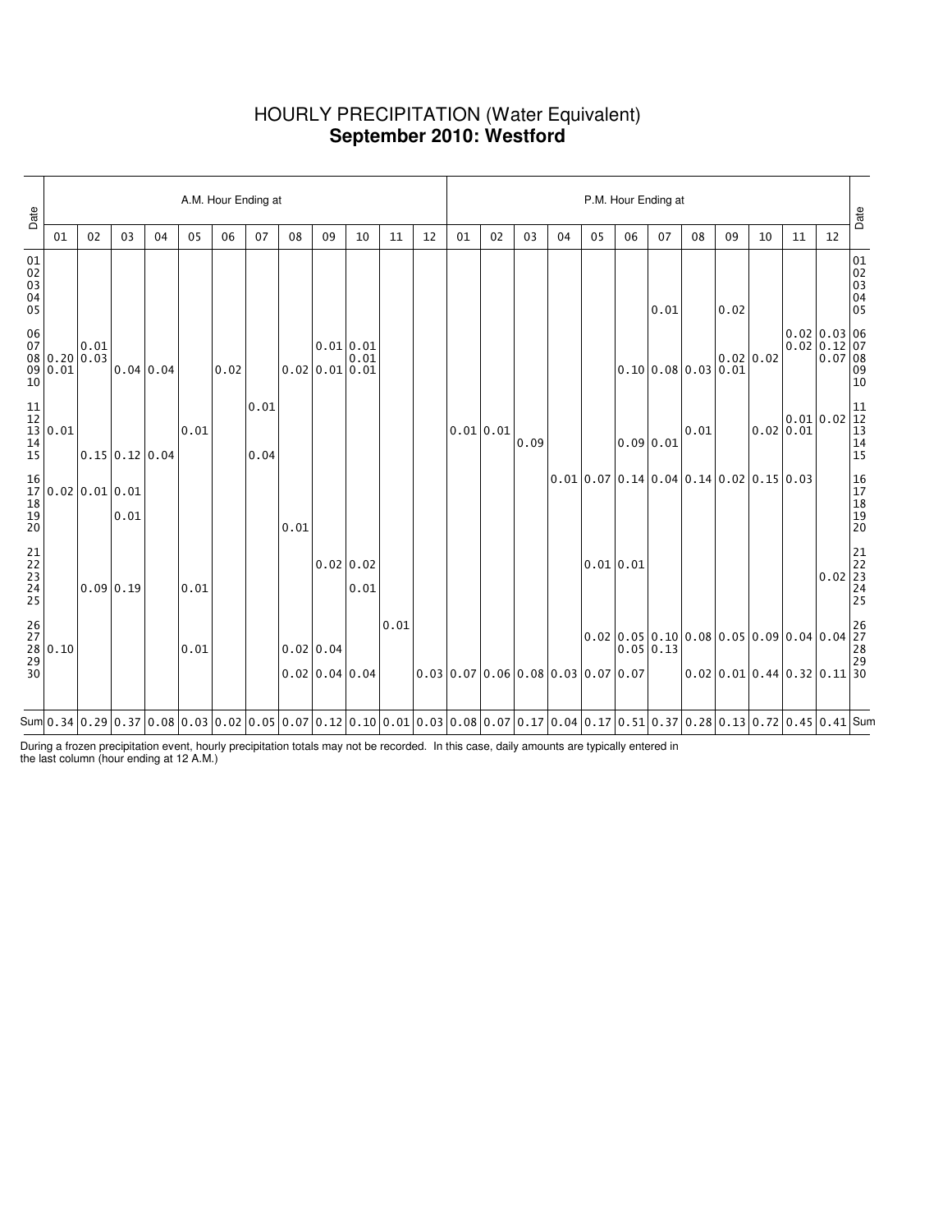### HOURLY PRECIPITATION (Water Equivalent) **September 2010: Westford**

| 02<br>03<br>05<br>06<br>07<br>08<br>09<br>12<br>01<br>02<br>03<br>05<br>07<br>09<br>04<br>10<br>11<br>04<br>06<br>08 | 10 | A.M. Hour Ending at<br>P.M. Hour Ending at<br>11 |
|----------------------------------------------------------------------------------------------------------------------|----|--------------------------------------------------|
| 0.02<br>0.01<br>0.01 0.01<br>0.01                                                                                    |    | $0.02 \, 0.02$                                   |
|                                                                                                                      |    |                                                  |
|                                                                                                                      |    |                                                  |
|                                                                                                                      |    |                                                  |
|                                                                                                                      |    |                                                  |
|                                                                                                                      |    |                                                  |
|                                                                                                                      |    |                                                  |
|                                                                                                                      |    |                                                  |
|                                                                                                                      |    |                                                  |
|                                                                                                                      |    |                                                  |
|                                                                                                                      |    |                                                  |
|                                                                                                                      |    |                                                  |
|                                                                                                                      |    |                                                  |
|                                                                                                                      |    |                                                  |
|                                                                                                                      |    |                                                  |
|                                                                                                                      |    |                                                  |
|                                                                                                                      |    |                                                  |
|                                                                                                                      |    |                                                  |
|                                                                                                                      |    |                                                  |
|                                                                                                                      |    |                                                  |
| 12<br>$\begin{bmatrix} 0.02 & 0.03 & 06 \\ 0.02 & 0.12 & 07 \\ 0.07 & 08 \\ 0.9 & 0.02 \end{bmatrix}$                |    |                                                  |

During a frozen precipitation event, hourly precipitation totals may not be recorded. In this case, daily amounts are typically entered in the last column (hour ending at 12 A.M.)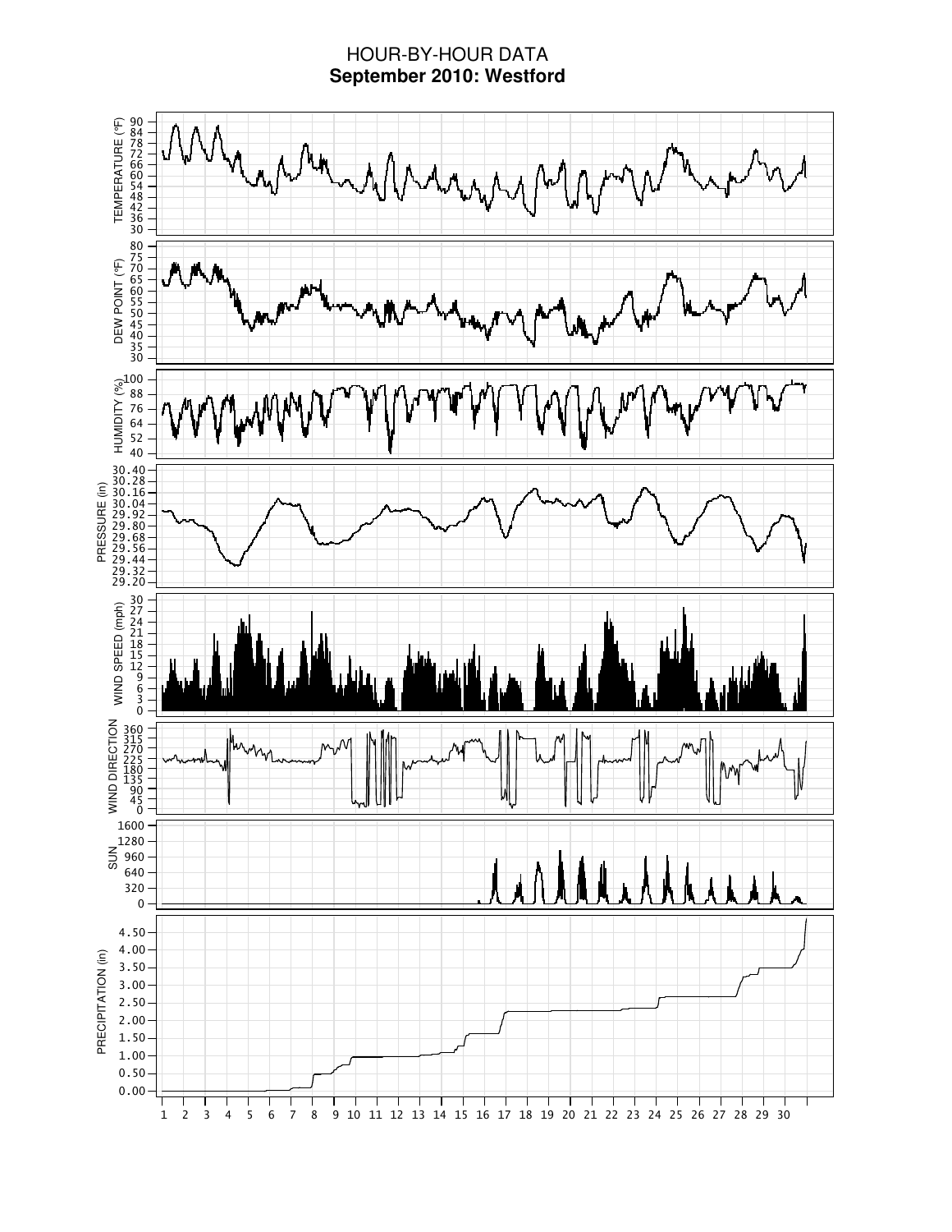## HOUR-BY-HOUR DATA **September 2010: Westford**